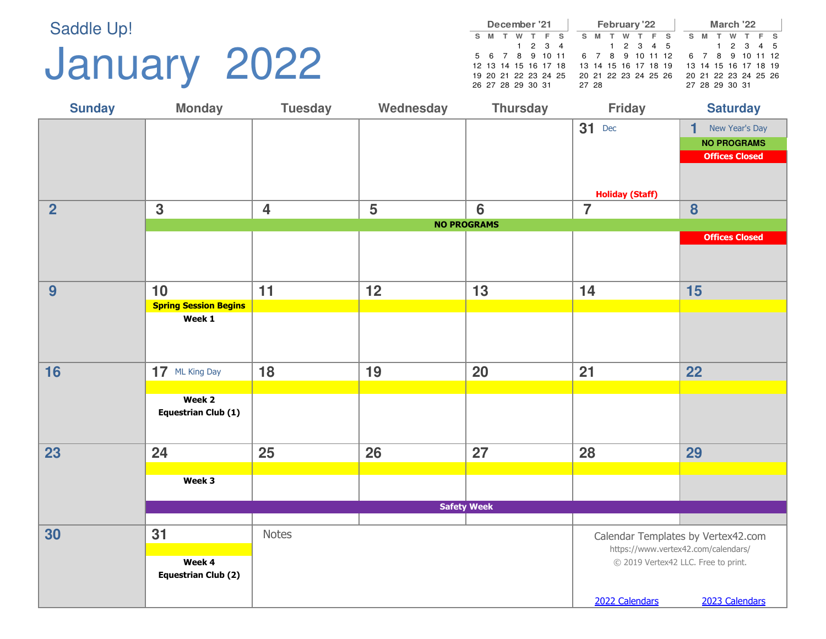## January 2022

|   |   | December '21         |                 |  |       |   | February '22         |     |                  |    |   |                |   | March '22            |  |
|---|---|----------------------|-----------------|--|-------|---|----------------------|-----|------------------|----|---|----------------|---|----------------------|--|
| s | M |                      | F S             |  | S.    | M | w                    | F S |                  | S. | M |                | w | T F S                |  |
|   |   |                      | $1 \t2 \t3 \t4$ |  |       |   | 1 2 3 4 5            |     |                  |    |   |                |   | 1 2 3 4 5            |  |
|   |   | 5 6 7 8 9 10 11      |                 |  |       |   |                      |     | 6 7 8 9 10 11 12 |    |   |                |   | 6 7 8 9 10 11 12     |  |
|   |   | 12 13 14 15 16 17 18 |                 |  |       |   | 13 14 15 16 17 18 19 |     |                  |    |   |                |   | 13 14 15 16 17 18 19 |  |
|   |   | 19 20 21 22 23 24 25 |                 |  |       |   | 20 21 22 23 24 25 26 |     |                  |    |   |                |   | 20 21 22 23 24 25 26 |  |
|   |   | 26 27 28 29 30 31    |                 |  | 27 28 |   |                      |     |                  |    |   | 27 28 29 30 31 |   |                      |  |

| <b>Sunday</b>  | <b>Monday</b>                | <b>Tuesday</b>          | Wednesday | <b>Thursday</b>    | <b>Friday</b>          | <b>Saturday</b>                     |
|----------------|------------------------------|-------------------------|-----------|--------------------|------------------------|-------------------------------------|
|                |                              |                         |           |                    | <b>31</b> Dec          | 1<br>New Year's Day                 |
|                |                              |                         |           |                    |                        | <b>NO PROGRAMS</b>                  |
|                |                              |                         |           |                    |                        | <b>Offices Closed</b>               |
|                |                              |                         |           |                    |                        |                                     |
|                |                              |                         |           |                    | <b>Holiday (Staff)</b> |                                     |
| $\overline{2}$ | 3                            | $\overline{\mathbf{4}}$ | 5         | $6\phantom{1}6$    | $\overline{7}$         | 8                                   |
|                |                              |                         |           | <b>NO PROGRAMS</b> |                        |                                     |
|                |                              |                         |           |                    |                        | <b>Offices Closed</b>               |
|                |                              |                         |           |                    |                        |                                     |
|                |                              |                         |           |                    |                        |                                     |
| 9              | 10                           | 11                      | 12        | 13                 | 14                     | 15                                  |
|                | <b>Spring Session Begins</b> |                         |           |                    |                        |                                     |
|                | Week 1                       |                         |           |                    |                        |                                     |
|                |                              |                         |           |                    |                        |                                     |
|                |                              |                         |           |                    |                        |                                     |
| 16             | 17 ML King Day               | 18                      | 19        | 20                 | 21                     | 22                                  |
|                |                              |                         |           |                    |                        |                                     |
|                | Week 2                       |                         |           |                    |                        |                                     |
|                | <b>Equestrian Club (1)</b>   |                         |           |                    |                        |                                     |
|                |                              |                         |           |                    |                        |                                     |
| 23             | 24                           | 25                      | 26        | 27                 | 28                     | 29                                  |
|                |                              |                         |           |                    |                        |                                     |
|                | Week 3                       |                         |           |                    |                        |                                     |
|                |                              |                         |           | <b>Safety Week</b> |                        |                                     |
|                |                              |                         |           |                    |                        |                                     |
| 30             | 31                           | <b>Notes</b>            |           |                    |                        | Calendar Templates by Vertex42.com  |
|                |                              |                         |           |                    |                        | https://www.vertex42.com/calendars/ |
|                | Week 4                       |                         |           |                    |                        | © 2019 Vertex42 LLC. Free to print. |
|                | <b>Equestrian Club (2)</b>   |                         |           |                    |                        |                                     |
|                |                              |                         |           |                    | 2022 Calendars         | 2023 Calendars                      |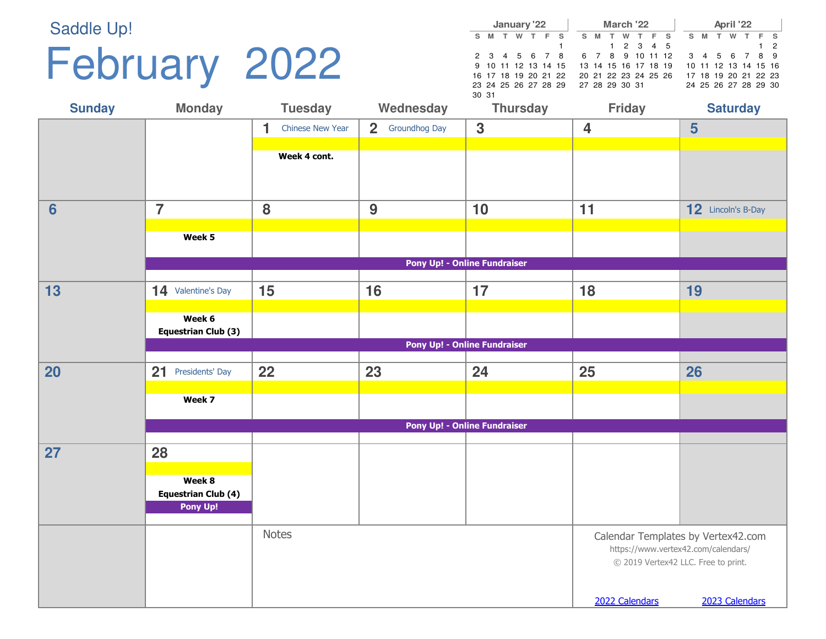| <b>Saddle Up!</b> |                                                  |                         |                               | January '22                                                                                                    | March '22                                                                                                                                        | April '22                                                                                                                                                           |
|-------------------|--------------------------------------------------|-------------------------|-------------------------------|----------------------------------------------------------------------------------------------------------------|--------------------------------------------------------------------------------------------------------------------------------------------------|---------------------------------------------------------------------------------------------------------------------------------------------------------------------|
|                   | February 2022                                    |                         |                               | S M T W T F S<br>2 3 4 5 6 7 8<br>9 10 11 12 13 14 15<br>16 17 18 19 20 21 22<br>23 24 25 26 27 28 29<br>30 31 | $\top$<br>W<br>T.<br>S M<br>F S<br>2 3 4 5<br>$\mathbf{1}$<br>6 7 8 9 10 11 12<br>13 14 15 16 17 18 19<br>20 21 22 23 24 25 26<br>27 28 29 30 31 | S M T W<br>T.<br>F S<br>$\overline{2}$<br>8 9<br>$3 \quad 4$<br>$5\overline{)}$<br>- 6<br>7<br>10 11 12 13 14 15 16<br>17 18 19 20 21 22 23<br>24 25 26 27 28 29 30 |
| <b>Sunday</b>     | <b>Monday</b>                                    | <b>Tuesday</b>          | Wednesday                     | <b>Thursday</b>                                                                                                | Friday                                                                                                                                           | <b>Saturday</b>                                                                                                                                                     |
|                   |                                                  | <b>Chinese New Year</b> | $\mathbf{2}$<br>Groundhog Day | $\mathbf{3}$                                                                                                   | $\overline{\mathbf{4}}$                                                                                                                          | $5\phantom{1}$                                                                                                                                                      |
|                   |                                                  | Week 4 cont.            |                               |                                                                                                                |                                                                                                                                                  |                                                                                                                                                                     |
|                   |                                                  |                         |                               |                                                                                                                |                                                                                                                                                  |                                                                                                                                                                     |
| 6                 | $\overline{7}$                                   | 8                       | 9                             | 10                                                                                                             | 11                                                                                                                                               | 12 Lincoln's B-Day                                                                                                                                                  |
|                   | Week 5                                           |                         |                               |                                                                                                                |                                                                                                                                                  |                                                                                                                                                                     |
|                   |                                                  |                         |                               | <b>Pony Up! - Online Fundraiser</b>                                                                            |                                                                                                                                                  |                                                                                                                                                                     |
| 13                | 14 Valentine's Day                               | 15                      | 16                            | 17                                                                                                             | 18                                                                                                                                               | 19                                                                                                                                                                  |
|                   | Week 6<br><b>Equestrian Club (3)</b>             |                         |                               |                                                                                                                |                                                                                                                                                  |                                                                                                                                                                     |
|                   |                                                  |                         |                               | <b>Pony Up! - Online Fundraiser</b>                                                                            |                                                                                                                                                  |                                                                                                                                                                     |
| 20                | 21<br>Presidents' Day                            | 22                      | 23                            | 24                                                                                                             | 25                                                                                                                                               | 26                                                                                                                                                                  |
|                   | Week 7                                           |                         |                               |                                                                                                                |                                                                                                                                                  |                                                                                                                                                                     |
|                   |                                                  |                         |                               | <b>Pony Up! - Online Fundraiser</b>                                                                            |                                                                                                                                                  |                                                                                                                                                                     |
| 27                | 28                                               |                         |                               |                                                                                                                |                                                                                                                                                  |                                                                                                                                                                     |
|                   | Week 8<br><b>Equestrian Club (4)</b><br>Pony Up! |                         |                               |                                                                                                                |                                                                                                                                                  |                                                                                                                                                                     |
|                   |                                                  | <b>Notes</b>            |                               |                                                                                                                |                                                                                                                                                  | Calendar Templates by Vertex42.com<br>https://www.vertex42.com/calendars/<br>© 2019 Vertex42 LLC. Free to print.                                                    |
|                   |                                                  |                         |                               |                                                                                                                | 2022 Calendars                                                                                                                                   | 2023 Calendars                                                                                                                                                      |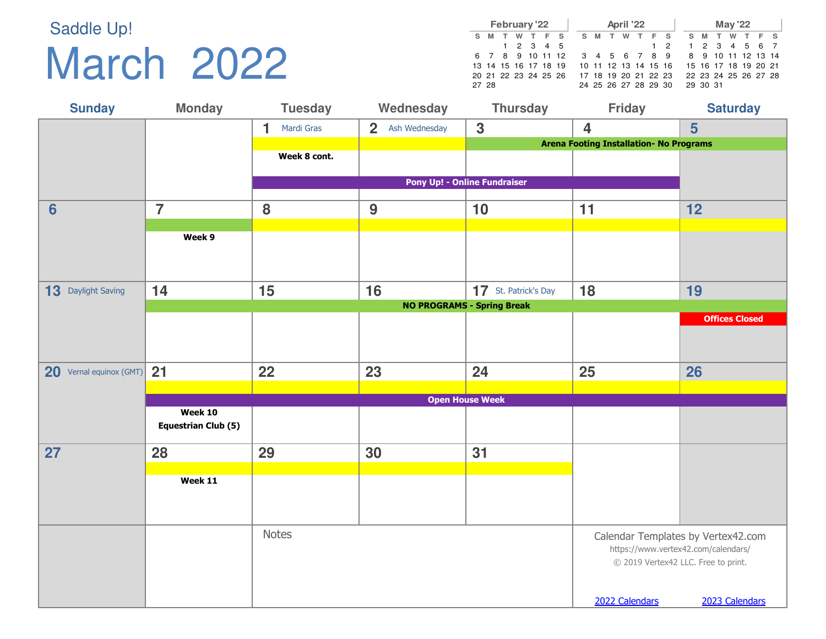### March 2022

|  |       | <b>February '22</b>             |  |                                                                  |  |  | April '22 |  |                               |  |  | May '22 |  |  |
|--|-------|---------------------------------|--|------------------------------------------------------------------|--|--|-----------|--|-------------------------------|--|--|---------|--|--|
|  |       | S M T W T F S                   |  |                                                                  |  |  |           |  | SMTWTFS SMTWTFS               |  |  |         |  |  |
|  |       | $1\quad 2\quad 3\quad 4\quad 5$ |  |                                                                  |  |  |           |  | 1 2 1 2 3 4 5 6 7             |  |  |         |  |  |
|  |       |                                 |  | 6 7 8 9 10 11 12 3 4 5 6 7 8 9 8 9 10 11 12 13 14                |  |  |           |  |                               |  |  |         |  |  |
|  |       |                                 |  | 13 14 15 16 17 18 19  10 11 12 13 14 15 16  15 16 17 18 19 20 21 |  |  |           |  |                               |  |  |         |  |  |
|  |       |                                 |  | 20 21 22 23 24 25 26 17 18 19 20 21 22 23 22 23 24 25 26 27 28   |  |  |           |  |                               |  |  |         |  |  |
|  | 27 28 |                                 |  |                                                                  |  |  |           |  | 24 25 26 27 28 29 30 29 30 31 |  |  |         |  |  |

| <b>Sunday</b>           | <b>Monday</b>                         | <b>Tuesday</b>  | Wednesday                       | <b>Thursday</b>                     | <b>Friday</b>                                  | <b>Saturday</b>                     |
|-------------------------|---------------------------------------|-----------------|---------------------------------|-------------------------------------|------------------------------------------------|-------------------------------------|
|                         |                                       | 1<br>Mardi Gras | $\overline{2}$<br>Ash Wednesday | $\mathbf 3$                         | $\overline{\mathbf{4}}$                        | 5                                   |
|                         |                                       |                 |                                 |                                     | <b>Arena Footing Installation- No Programs</b> |                                     |
|                         |                                       | Week 8 cont.    |                                 |                                     |                                                |                                     |
|                         |                                       |                 |                                 | <b>Pony Up! - Online Fundraiser</b> |                                                |                                     |
|                         |                                       |                 |                                 |                                     |                                                |                                     |
| $6\phantom{1}6$         | $\overline{7}$                        | 8               | 9                               | 10                                  | 11                                             | 12                                  |
|                         | Week 9                                |                 |                                 |                                     |                                                |                                     |
|                         |                                       |                 |                                 |                                     |                                                |                                     |
|                         |                                       |                 |                                 |                                     |                                                |                                     |
|                         |                                       |                 |                                 | 17 St. Patrick's Day                |                                                |                                     |
| 13 Daylight Saving      | 14                                    | 15              | 16                              | <b>NO PROGRAMS - Spring Break</b>   | 18                                             | 19                                  |
|                         |                                       |                 |                                 |                                     |                                                | <b>Offices Closed</b>               |
|                         |                                       |                 |                                 |                                     |                                                |                                     |
|                         |                                       |                 |                                 |                                     |                                                |                                     |
| 20 Vernal equinox (GMT) | 21                                    | 22              | 23                              | 24                                  | 25                                             | 26                                  |
|                         |                                       |                 |                                 |                                     |                                                |                                     |
|                         |                                       |                 |                                 | <b>Open House Week</b>              |                                                |                                     |
|                         | Week 10<br><b>Equestrian Club (5)</b> |                 |                                 |                                     |                                                |                                     |
| 27                      | 28                                    | 29              | 30                              | 31                                  |                                                |                                     |
|                         |                                       |                 |                                 |                                     |                                                |                                     |
|                         | Week 11                               |                 |                                 |                                     |                                                |                                     |
|                         |                                       |                 |                                 |                                     |                                                |                                     |
|                         |                                       |                 |                                 |                                     |                                                |                                     |
|                         |                                       | <b>Notes</b>    |                                 |                                     |                                                | Calendar Templates by Vertex42.com  |
|                         |                                       |                 |                                 |                                     |                                                | https://www.vertex42.com/calendars/ |
|                         |                                       |                 |                                 |                                     |                                                | © 2019 Vertex42 LLC. Free to print. |
|                         |                                       |                 |                                 |                                     |                                                |                                     |
|                         |                                       |                 |                                 |                                     | 2022 Calendars                                 | 2023 Calendars                      |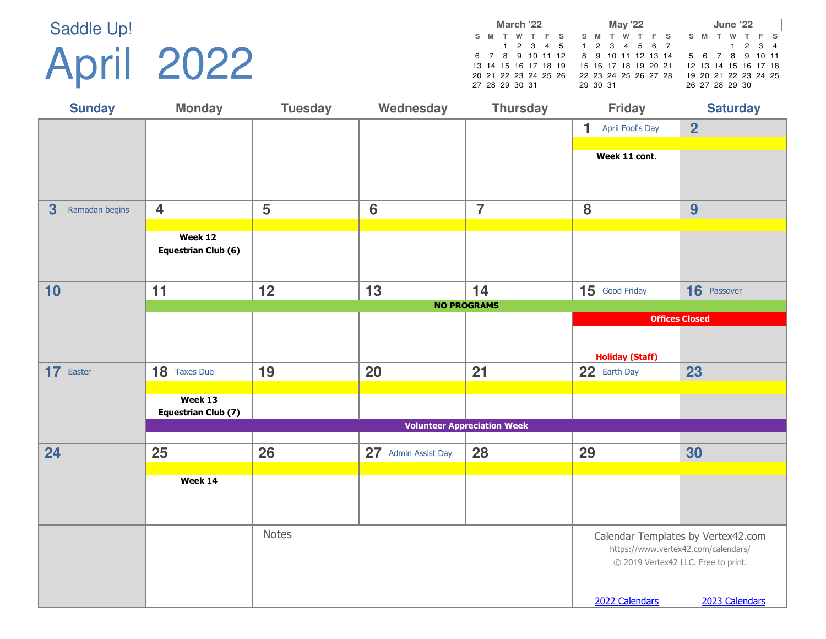## April 2022

|  |       | March '22            |         |  |                                                     |  |          |  | <b>May '22</b>       |  |     |     | June '22             |                 |  |
|--|-------|----------------------|---------|--|-----------------------------------------------------|--|----------|--|----------------------|--|-----|-----|----------------------|-----------------|--|
|  | S M T |                      | W T F S |  |                                                     |  | S M T    |  | W T F S              |  | S M | . т | w                    | T F S           |  |
|  |       |                      |         |  | 1 2 3 4 5 1 2 3 4 5 6 7                             |  |          |  |                      |  |     |     |                      | $1 \t2 \t3 \t4$ |  |
|  |       |                      |         |  | 6 7 8 9 10 11 12 8 9 10 11 12 13 14 5 6 7 8 9 10 11 |  |          |  |                      |  |     |     |                      |                 |  |
|  |       | 13 14 15 16 17 18 19 |         |  |                                                     |  |          |  | 15 16 17 18 19 20 21 |  |     |     | 12 13 14 15 16 17 18 |                 |  |
|  |       |                      |         |  | 20 21 22 23 24 25 26                                |  |          |  | 22 23 24 25 26 27 28 |  |     |     | 19 20 21 22 23 24 25 |                 |  |
|  |       | 27 28 29 30 31       |         |  |                                                     |  | 29 30 31 |  |                      |  |     |     | 26 27 28 29 30       |                 |  |

| <b>Sunday</b>       | <b>Monday</b>                  | <b>Tuesday</b> | Wednesday              | <b>Thursday</b>                    | <b>Friday</b>          | <b>Saturday</b>                                                                                                  |
|---------------------|--------------------------------|----------------|------------------------|------------------------------------|------------------------|------------------------------------------------------------------------------------------------------------------|
|                     |                                |                |                        |                                    | 1<br>April Fool's Day  | $\overline{2}$                                                                                                   |
|                     |                                |                |                        |                                    |                        |                                                                                                                  |
|                     |                                |                |                        |                                    | Week 11 cont.          |                                                                                                                  |
|                     |                                |                |                        |                                    |                        |                                                                                                                  |
|                     |                                |                |                        |                                    |                        |                                                                                                                  |
| 3<br>Ramadan begins | $\overline{\mathbf{4}}$        | 5              | 6                      | $\overline{7}$                     | 8                      | 9                                                                                                                |
|                     | Week 12<br>Equestrian Club (6) |                |                        |                                    |                        |                                                                                                                  |
| 10                  | 11                             | 12             | 13                     | 14                                 | 15 Good Friday         | 16 Passover                                                                                                      |
|                     |                                |                |                        | <b>NO PROGRAMS</b>                 |                        |                                                                                                                  |
|                     |                                |                |                        |                                    |                        | <b>Offices Closed</b>                                                                                            |
|                     |                                |                |                        |                                    |                        |                                                                                                                  |
|                     |                                |                |                        |                                    | <b>Holiday (Staff)</b> |                                                                                                                  |
| 17 Easter           | 18 Taxes Due                   | 19             | 20                     | 21                                 | 22 Earth Day           | 23                                                                                                               |
|                     | Week 13                        |                |                        |                                    |                        |                                                                                                                  |
|                     | <b>Equestrian Club (7)</b>     |                |                        |                                    |                        |                                                                                                                  |
|                     |                                |                |                        | <b>Volunteer Appreciation Week</b> |                        |                                                                                                                  |
| 24                  | 25                             | 26             | 27<br>Admin Assist Day | 28                                 | 29                     | 30                                                                                                               |
|                     |                                |                |                        |                                    |                        |                                                                                                                  |
|                     | Week 14                        |                |                        |                                    |                        |                                                                                                                  |
|                     |                                |                |                        |                                    |                        |                                                                                                                  |
|                     |                                | <b>Notes</b>   |                        |                                    |                        |                                                                                                                  |
|                     |                                |                |                        |                                    |                        | Calendar Templates by Vertex42.com<br>https://www.vertex42.com/calendars/<br>© 2019 Vertex42 LLC. Free to print. |
|                     |                                |                |                        |                                    | 2022 Calendars         | 2023 Calendars                                                                                                   |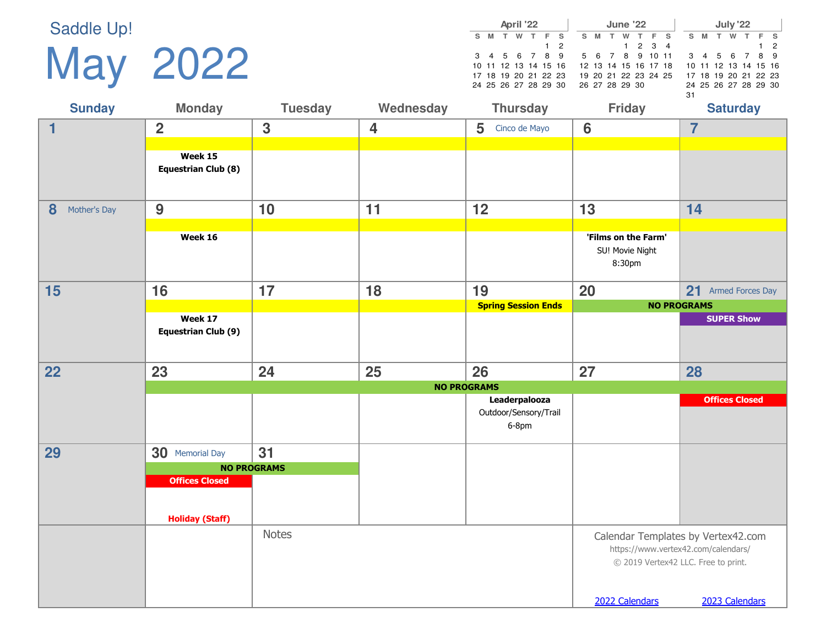| <b>May</b> | $2022$ |
|------------|--------|
|------------|--------|

|    |                      |   | April '22 |     |     |  |                | <b>June '22</b> |                      |  |     |  | July '22             |  |    |
|----|----------------------|---|-----------|-----|-----|--|----------------|-----------------|----------------------|--|-----|--|----------------------|--|----|
| S. | M                    | w |           | F S |     |  | S M T          | W               | T F S                |  | S M |  | w                    |  |    |
|    |                      |   |           |     | 1 2 |  |                |                 | 1 2 3 4              |  |     |  |                      |  | 12 |
|    | 3 4 5 6 7 8 9        |   |           |     |     |  |                |                 | 5 6 7 8 9 10 11      |  |     |  | 3 4 5 6 7 8 9        |  |    |
|    | 10 11 12 13 14 15 16 |   |           |     |     |  |                |                 | 12 13 14 15 16 17 18 |  |     |  | 10 11 12 13 14 15 16 |  |    |
|    | 17 18 19 20 21 22 23 |   |           |     |     |  |                |                 | 19 20 21 22 23 24 25 |  |     |  | 17 18 19 20 21 22 23 |  |    |
|    | 24 25 26 27 28 29 30 |   |           |     |     |  | 26 27 28 29 30 |                 |                      |  |     |  | 24 25 26 27 28 29 30 |  |    |
|    |                      |   |           |     |     |  |                |                 |                      |  | 31  |  |                      |  |    |

| <b>Sunday</b>     | <b>Monday</b>                         | <b>Tuesday</b>     | Wednesday               | <b>Thursday</b>                  | <b>Friday</b>       | <b>Saturday</b>                     |
|-------------------|---------------------------------------|--------------------|-------------------------|----------------------------------|---------------------|-------------------------------------|
| $\blacksquare$    | $\overline{2}$                        | $\mathbf{3}$       | $\overline{\mathbf{4}}$ | $5\phantom{.0}$<br>Cinco de Mayo | $6\phantom{1}6$     | $\overline{7}$                      |
|                   |                                       |                    |                         |                                  |                     |                                     |
|                   | Week 15<br><b>Equestrian Club (8)</b> |                    |                         |                                  |                     |                                     |
|                   |                                       |                    |                         |                                  |                     |                                     |
|                   |                                       |                    |                         |                                  |                     |                                     |
| 8<br>Mother's Day | 9                                     | 10                 | 11                      | 12                               | 13                  | 14                                  |
|                   | Week 16                               |                    |                         |                                  | 'Films on the Farm' |                                     |
|                   |                                       |                    |                         |                                  | SU! Movie Night     |                                     |
|                   |                                       |                    |                         |                                  | 8:30pm              |                                     |
| 15                | 16                                    | 17                 | 18                      | 19                               | 20                  | 21<br><b>Armed Forces Day</b>       |
|                   |                                       |                    |                         | <b>Spring Session Ends</b>       |                     | <b>NO PROGRAMS</b>                  |
|                   | Week 17                               |                    |                         |                                  |                     | <b>SUPER Show</b>                   |
|                   | <b>Equestrian Club (9)</b>            |                    |                         |                                  |                     |                                     |
|                   |                                       |                    |                         |                                  |                     |                                     |
| 22                | 23                                    | 24                 | 25                      | 26                               | 27                  | 28                                  |
|                   |                                       |                    |                         | <b>NO PROGRAMS</b>               |                     |                                     |
|                   |                                       |                    |                         | Leaderpalooza                    |                     | <b>Offices Closed</b>               |
|                   |                                       |                    |                         | Outdoor/Sensory/Trail<br>6-8pm   |                     |                                     |
|                   |                                       |                    |                         |                                  |                     |                                     |
| 29                | 30 Memorial Day                       | 31                 |                         |                                  |                     |                                     |
|                   |                                       | <b>NO PROGRAMS</b> |                         |                                  |                     |                                     |
|                   | <b>Offices Closed</b>                 |                    |                         |                                  |                     |                                     |
|                   |                                       |                    |                         |                                  |                     |                                     |
|                   | <b>Holiday (Staff)</b>                |                    |                         |                                  |                     |                                     |
|                   |                                       | <b>Notes</b>       |                         |                                  |                     | Calendar Templates by Vertex42.com  |
|                   |                                       |                    |                         |                                  |                     | https://www.vertex42.com/calendars/ |
|                   |                                       |                    |                         |                                  |                     | © 2019 Vertex42 LLC. Free to print. |
|                   |                                       |                    |                         |                                  |                     |                                     |
|                   |                                       |                    |                         |                                  | 2022 Calendars      | 2023 Calendars                      |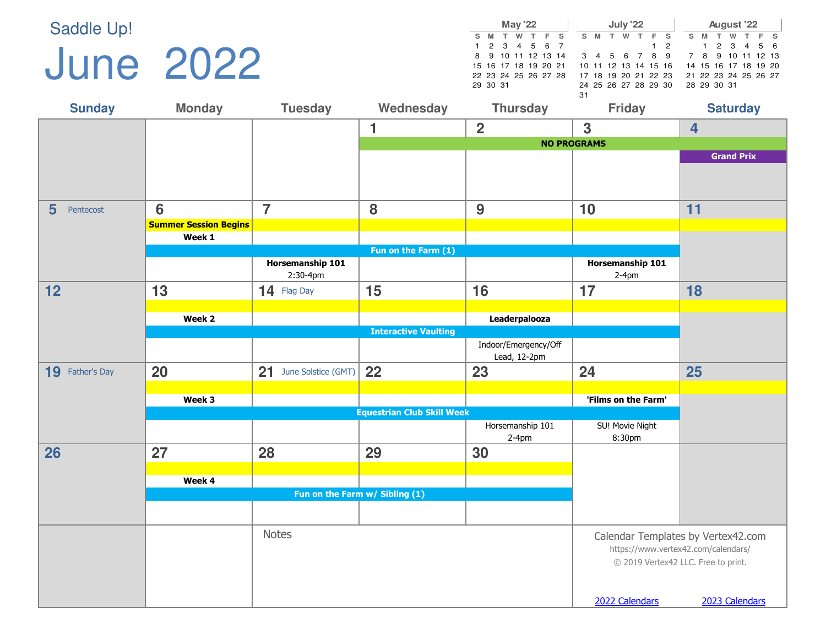### June 2022

|    |          |                      |   | <b>May '22</b> |       |  |    |   |       | July '22             |  |                      |  |             | <b>August '22</b> |                      |  |
|----|----------|----------------------|---|----------------|-------|--|----|---|-------|----------------------|--|----------------------|--|-------------|-------------------|----------------------|--|
| s. | M        | T                    | w |                | $F$ S |  | S. | M | - T - | w                    |  | F S                  |  | S M         | w                 | F S                  |  |
|    |          | 1 2 3 4 5 6 7        |   |                |       |  |    |   |       |                      |  | $1\quad 2$           |  |             |                   | 1 2 3 4 5 6          |  |
|    |          | 8 9 10 11 12 13 14   |   |                |       |  |    |   |       |                      |  | 3 4 5 6 7 8 9        |  |             |                   | 7 8 9 10 11 12 13    |  |
|    |          | 15 16 17 18 19 20 21 |   |                |       |  |    |   |       |                      |  | 10 11 12 13 14 15 16 |  |             |                   | 14 15 16 17 18 19 20 |  |
|    |          | 22 23 24 25 26 27 28 |   |                |       |  |    |   |       | 17 18 19 20 21 22 23 |  |                      |  |             |                   | 21 22 23 24 25 26 27 |  |
|    | 29 30 31 |                      |   |                |       |  |    |   |       | 24 25 26 27 28 29 30 |  |                      |  | 28 29 30 31 |                   |                      |  |
|    |          |                      |   |                |       |  | 31 |   |       |                      |  |                      |  |             |                   |                      |  |

| <b>Sunday</b>   | <b>Monday</b>                | <b>Tuesday</b>               | Wednesday                         | <b>Thursday</b>      | <b>Friday</b>               | <b>Saturday</b>                     |
|-----------------|------------------------------|------------------------------|-----------------------------------|----------------------|-----------------------------|-------------------------------------|
|                 |                              |                              | 1                                 | $\overline{2}$       | $\overline{3}$              | $\overline{4}$                      |
|                 |                              |                              |                                   |                      | <b>NO PROGRAMS</b>          |                                     |
|                 |                              |                              |                                   |                      |                             | <b>Grand Prix</b>                   |
|                 |                              |                              |                                   |                      |                             |                                     |
|                 |                              |                              |                                   |                      |                             |                                     |
| 5<br>Pentecost  | 6                            | $\overline{7}$               | 8                                 | 9                    | 10                          | 11                                  |
|                 | <b>Summer Session Begins</b> |                              |                                   |                      |                             |                                     |
|                 | Week 1                       |                              |                                   |                      |                             |                                     |
|                 |                              |                              | Fun on the Farm (1)               |                      |                             |                                     |
|                 |                              | Horsemanship 101<br>2:30-4pm |                                   |                      | Horsemanship 101<br>$2-4pm$ |                                     |
| 12              | 13                           | 14 Flag Day                  | 15                                | 16                   | 17                          | 18                                  |
|                 |                              |                              |                                   |                      |                             |                                     |
|                 | Week 2                       |                              |                                   | Leaderpalooza        |                             |                                     |
|                 |                              |                              | <b>Interactive Vaulting</b>       |                      |                             |                                     |
|                 |                              |                              |                                   | Indoor/Emergency/Off |                             |                                     |
| 19 Father's Day | 20                           | 21 June Solstice (GMT)       | 22                                | Lead, 12-2pm<br>23   | 24                          | 25                                  |
|                 |                              |                              |                                   |                      |                             |                                     |
|                 | Week 3                       |                              |                                   |                      | 'Films on the Farm'         |                                     |
|                 |                              |                              | <b>Equestrian Club Skill Week</b> |                      |                             |                                     |
|                 |                              |                              |                                   | Horsemanship 101     | SU! Movie Night             |                                     |
|                 |                              |                              |                                   | $2-4$ pm             | 8:30pm                      |                                     |
| 26              | 27                           | 28                           | 29                                | 30                   |                             |                                     |
|                 | Week 4                       |                              |                                   |                      |                             |                                     |
|                 |                              |                              | Fun on the Farm w/ Sibling (1)    |                      |                             |                                     |
|                 |                              |                              |                                   |                      |                             |                                     |
|                 |                              |                              |                                   |                      |                             |                                     |
|                 |                              | <b>Notes</b>                 |                                   |                      |                             | Calendar Templates by Vertex42.com  |
|                 |                              |                              |                                   |                      |                             | https://www.vertex42.com/calendars/ |
|                 |                              |                              |                                   |                      |                             | © 2019 Vertex42 LLC. Free to print. |
|                 |                              |                              |                                   |                      |                             |                                     |
|                 |                              |                              |                                   |                      | 2022 Calendars              | 2023 Calendars                      |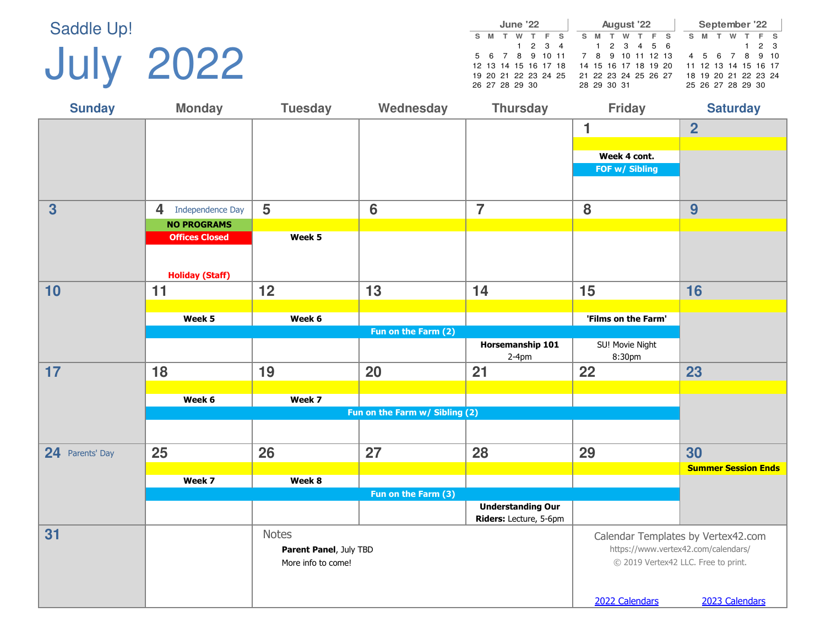# July 2022

|    |                | June '22 |                      |                      |  |                      | August '22 |       |                      |  |     |   | September '22        |             |  |
|----|----------------|----------|----------------------|----------------------|--|----------------------|------------|-------|----------------------|--|-----|---|----------------------|-------------|--|
| S. | M              | w        | T F S                |                      |  | S M                  | w          | T F S |                      |  | S M | w |                      | F S         |  |
|    |                |          | $1 \t2 \t3 \t4$      |                      |  | 1 2 3 4 5 6          |            |       |                      |  |     |   |                      | $1 \t2 \t3$ |  |
|    |                |          | 5 6 7 8 9 10 11      |                      |  | 7 8 9 10 11 12 13    |            |       |                      |  |     |   | 4 5 6 7 8 9 10       |             |  |
|    |                |          | 12 13 14 15 16 17 18 |                      |  | 14 15 16 17 18 19 20 |            |       |                      |  |     |   | 11 12 13 14 15 16 17 |             |  |
|    |                |          |                      | 19 20 21 22 23 24 25 |  |                      |            |       | 21 22 23 24 25 26 27 |  |     |   | 18 19 20 21 22 23 24 |             |  |
|    | 26 27 28 29 30 |          |                      |                      |  | 28 29 30 31          |            |       |                      |  |     |   | 25 26 27 28 29 30    |             |  |

| <b>Sunday</b>           | <b>Monday</b>          | <b>Tuesday</b>         | Wednesday                      | <b>Thursday</b>                                    | <b>Friday</b>             | <b>Saturday</b>                     |
|-------------------------|------------------------|------------------------|--------------------------------|----------------------------------------------------|---------------------------|-------------------------------------|
|                         |                        |                        |                                |                                                    | $\mathbf{1}$              | $\overline{\mathbf{2}}$             |
|                         |                        |                        |                                |                                                    |                           |                                     |
|                         |                        |                        |                                |                                                    | Week 4 cont.              |                                     |
|                         |                        |                        |                                |                                                    | FOF w/ Sibling            |                                     |
|                         |                        |                        |                                |                                                    |                           |                                     |
| $\overline{\mathbf{3}}$ | 4<br>Independence Day  | 5                      | $6\phantom{1}6$                | $\overline{7}$                                     | 8                         | 9                                   |
|                         | <b>NO PROGRAMS</b>     |                        |                                |                                                    |                           |                                     |
|                         | <b>Offices Closed</b>  | Week 5                 |                                |                                                    |                           |                                     |
|                         |                        |                        |                                |                                                    |                           |                                     |
|                         | <b>Holiday (Staff)</b> |                        |                                |                                                    |                           |                                     |
| 10                      | 11                     | 12                     | 13                             | 14                                                 | 15                        | 16                                  |
|                         |                        |                        |                                |                                                    |                           |                                     |
|                         | Week 5                 | Week 6                 |                                |                                                    | 'Films on the Farm'       |                                     |
|                         |                        |                        | Fun on the Farm (2)            |                                                    |                           |                                     |
|                         |                        |                        |                                | Horsemanship 101<br>$2-4pm$                        | SU! Movie Night<br>8:30pm |                                     |
| 17                      | 18                     | 19                     | 20                             | 21                                                 | 22                        | 23                                  |
|                         |                        |                        |                                |                                                    |                           |                                     |
|                         | Week 6                 | Week 7                 |                                |                                                    |                           |                                     |
|                         |                        |                        | Fun on the Farm w/ Sibling (2) |                                                    |                           |                                     |
|                         |                        |                        |                                |                                                    |                           |                                     |
| 24 Parents' Day         | 25                     | 26                     | 27                             | 28                                                 | 29                        | 30                                  |
|                         |                        |                        |                                |                                                    |                           | <b>Summer Session Ends</b>          |
|                         | Week 7                 | Week 8                 |                                |                                                    |                           |                                     |
|                         |                        |                        | Fun on the Farm (3)            |                                                    |                           |                                     |
|                         |                        |                        |                                | <b>Understanding Our</b><br>Riders: Lecture, 5-6pm |                           |                                     |
| 31                      |                        | <b>Notes</b>           |                                |                                                    |                           | Calendar Templates by Vertex42.com  |
|                         |                        | Parent Panel, July TBD |                                |                                                    |                           | https://www.vertex42.com/calendars/ |
|                         |                        | More info to come!     |                                |                                                    |                           | © 2019 Vertex42 LLC. Free to print. |
|                         |                        |                        |                                |                                                    |                           |                                     |
|                         |                        |                        |                                |                                                    | 2022 Calendars            | 2023 Calendars                      |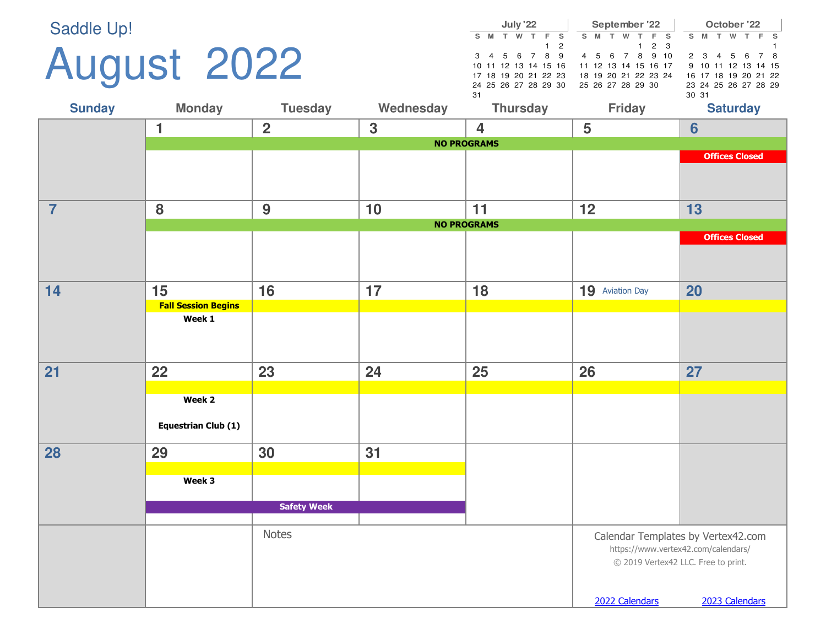## August

| Saddle Up!     | August 2022                          |                    |                | July '22<br>S M T W T F S<br>$1\quad 2$<br>3 4 5 6 7 8 9<br>24 25 26 27 28 29 30<br>31 | September '22<br>S M T W T F S<br>$1 \quad 2 \quad 3$<br>4 5 6 7 8 9 10<br>10 11 12 13 14 15 16 11 12 13 14 15 16 17<br>17 18 19 20 21 22 23 18 19 20 21 22 23 24<br>25 26 27 28 29 30 | October '22<br>S M T W T F S<br>2 3 4 5 6 7 8<br>9 10 11 12 13 14 15<br>16 17 18 19 20 21 22<br>23 24 25 26 27 28 29<br>30 31 |
|----------------|--------------------------------------|--------------------|----------------|----------------------------------------------------------------------------------------|----------------------------------------------------------------------------------------------------------------------------------------------------------------------------------------|-------------------------------------------------------------------------------------------------------------------------------|
| <b>Sunday</b>  | <b>Monday</b>                        | <b>Tuesday</b>     | Wednesday      | <b>Thursday</b>                                                                        | <b>Friday</b>                                                                                                                                                                          | <b>Saturday</b>                                                                                                               |
|                | 1                                    | $\overline{2}$     | $\overline{3}$ | $\overline{\mathbf{4}}$<br><b>NO PROGRAMS</b>                                          | 5                                                                                                                                                                                      | $6\phantom{1}6$                                                                                                               |
|                |                                      |                    |                |                                                                                        |                                                                                                                                                                                        | <b>Offices Closed</b>                                                                                                         |
| $\overline{7}$ | 8                                    | 9                  | 10             | 11                                                                                     | 12                                                                                                                                                                                     | 13                                                                                                                            |
|                |                                      |                    |                | <b>NO PROGRAMS</b>                                                                     |                                                                                                                                                                                        |                                                                                                                               |
|                |                                      |                    |                |                                                                                        |                                                                                                                                                                                        | <b>Offices Closed</b>                                                                                                         |
| 14             | 15                                   | 16                 | 17             | 18                                                                                     | 19 Aviation Day                                                                                                                                                                        | 20                                                                                                                            |
|                | <b>Fall Session Begins</b>           |                    |                |                                                                                        |                                                                                                                                                                                        |                                                                                                                               |
|                | Week 1                               |                    |                |                                                                                        |                                                                                                                                                                                        |                                                                                                                               |
| 21             | 22                                   | 23                 | 24             | 25                                                                                     | 26                                                                                                                                                                                     | 27                                                                                                                            |
|                | Week 2<br><b>Equestrian Club (1)</b> |                    |                |                                                                                        |                                                                                                                                                                                        |                                                                                                                               |
| 28             | 29                                   | 30                 | 31             |                                                                                        |                                                                                                                                                                                        |                                                                                                                               |
|                | Week 3                               | <b>Safety Week</b> |                |                                                                                        |                                                                                                                                                                                        |                                                                                                                               |
|                |                                      | <b>Notes</b>       |                |                                                                                        |                                                                                                                                                                                        | Calendar Templates by Vertex42.com<br>https://www.vertex42.com/calendars/                                                     |

© 2019 Vertex42 LLC. Free to print.

2022 Calendars 2023 Calendars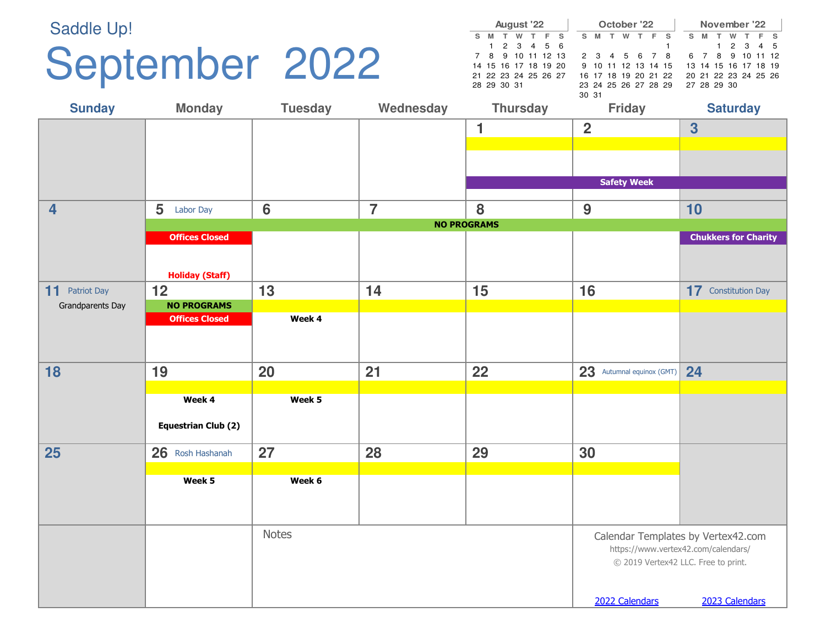### September 2022

|             |   | August '22           |  |                      | October '22 |   |                                |    |          |             | November '22         |          |     |  |
|-------------|---|----------------------|--|----------------------|-------------|---|--------------------------------|----|----------|-------------|----------------------|----------|-----|--|
| S M T       | w | T F S                |  | S M                  | w           | T | F S                            | S. | <b>M</b> |             | w                    | <b>T</b> | F S |  |
|             |   | 1 2 3 4 5 6          |  |                      |             |   |                                |    |          |             | 1 2 3 4 5            |          |     |  |
|             |   | 7 8 9 10 11 12 13    |  |                      |             |   | 2 3 4 5 6 7 8 6 7 8 9 10 11 12 |    |          |             |                      |          |     |  |
|             |   | 14 15 16 17 18 19 20 |  |                      |             |   | 9 10 11 12 13 14 15            |    |          |             | 13 14 15 16 17 18 19 |          |     |  |
|             |   | 21 22 23 24 25 26 27 |  |                      |             |   | 16 17 18 19 20 21 22           |    |          |             | 20 21 22 23 24 25 26 |          |     |  |
| 28 29 30 31 |   |                      |  | 23 24 25 26 27 28 29 |             |   |                                |    |          | 27 28 29 30 |                      |          |     |  |
|             |   |                      |  | 30 31                |             |   |                                |    |          |             |                      |          |     |  |
|             |   |                      |  |                      |             |   |                                |    |          | __          |                      |          |     |  |

| <b>Sunday</b>           | <b>Monday</b>              | <b>Tuesday</b>  | Wednesday      | <b>Thursday</b>    | <b>Friday</b>                       | <b>Saturday</b>             |
|-------------------------|----------------------------|-----------------|----------------|--------------------|-------------------------------------|-----------------------------|
|                         |                            |                 |                | 1                  | $\overline{2}$                      | $\overline{\mathbf{3}}$     |
|                         |                            |                 |                |                    |                                     |                             |
|                         |                            |                 |                |                    |                                     |                             |
|                         |                            |                 |                |                    | <b>Safety Week</b>                  |                             |
|                         |                            |                 |                |                    |                                     |                             |
| $\overline{\mathbf{4}}$ | 5 Labor Day                | $6\phantom{1}6$ | $\overline{7}$ | 8                  | 9                                   | 10                          |
|                         |                            |                 |                | <b>NO PROGRAMS</b> |                                     |                             |
|                         | <b>Offices Closed</b>      |                 |                |                    |                                     | <b>Chukkers for Charity</b> |
|                         |                            |                 |                |                    |                                     |                             |
|                         | <b>Holiday (Staff)</b>     |                 |                |                    |                                     |                             |
| 11 Patriot Day          | 12                         | 13              | 14             | 15                 | 16                                  | 17 Constitution Day         |
| Grandparents Day        | <b>NO PROGRAMS</b>         |                 |                |                    |                                     |                             |
|                         | <b>Offices Closed</b>      | Week 4          |                |                    |                                     |                             |
|                         |                            |                 |                |                    |                                     |                             |
|                         |                            |                 |                |                    |                                     |                             |
| 18                      | 19                         | 20              | 21             | 22                 | 23 Autumnal equinox (GMT)           | 24                          |
|                         |                            |                 |                |                    |                                     |                             |
|                         | Week 4                     | Week 5          |                |                    |                                     |                             |
|                         | <b>Equestrian Club (2)</b> |                 |                |                    |                                     |                             |
|                         |                            |                 |                |                    |                                     |                             |
| 25                      | 26 Rosh Hashanah           | 27              | 28             | 29                 | 30                                  |                             |
|                         |                            |                 |                |                    |                                     |                             |
|                         | Week 5                     | Week 6          |                |                    |                                     |                             |
|                         |                            |                 |                |                    |                                     |                             |
|                         |                            |                 |                |                    |                                     |                             |
|                         |                            | Notes           |                |                    | Calendar Templates by Vertex42.com  |                             |
|                         |                            |                 |                |                    | https://www.vertex42.com/calendars/ |                             |
|                         |                            |                 |                |                    | © 2019 Vertex42 LLC. Free to print. |                             |
|                         |                            |                 |                |                    |                                     |                             |
|                         |                            |                 |                |                    | 2022 Calendars                      | 2023 Calendars              |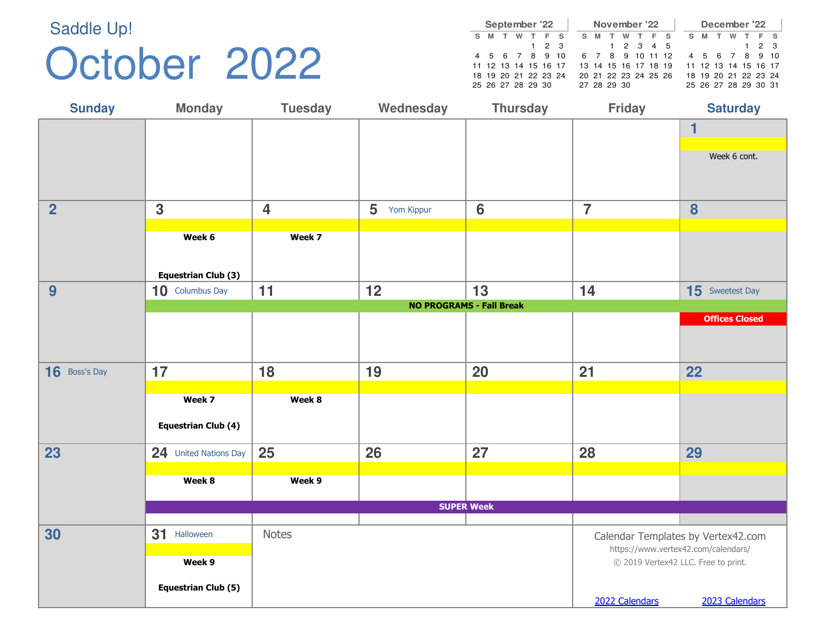### October 2022

|   |   |  | September '22        |             |  |    |   | November '22         |   |   |                  |    |   |   | December '22         |       |  |
|---|---|--|----------------------|-------------|--|----|---|----------------------|---|---|------------------|----|---|---|----------------------|-------|--|
| s | M |  |                      |             |  | S. | M |                      | w | E | - s              | S. | M | w |                      |       |  |
|   |   |  |                      | $1 \t2 \t3$ |  |    |   | 1 2 3 4 5            |   |   |                  |    |   |   |                      | 1 2 3 |  |
|   |   |  | 4 5 6 7 8 9 10       |             |  |    |   |                      |   |   | 6 7 8 9 10 11 12 |    |   |   | 4 5 6 7 8 9 10       |       |  |
|   |   |  | 11 12 13 14 15 16 17 |             |  |    |   | 13 14 15 16 17 18 19 |   |   |                  |    |   |   | 11 12 13 14 15 16 17 |       |  |
|   |   |  | 18 19 20 21 22 23 24 |             |  |    |   | 20 21 22 23 24 25 26 |   |   |                  |    |   |   | 18 19 20 21 22 23 24 |       |  |
|   |   |  | 25 26 27 28 29 30    |             |  |    |   | 27 28 29 30          |   |   |                  |    |   |   | 25 26 27 28 29 30 31 |       |  |

| <b>Sunday</b>  | <b>Monday</b>              | <b>Tuesday</b>          | Wednesday       | <b>Thursday</b>                 | <b>Friday</b>  | <b>Saturday</b>                     |
|----------------|----------------------------|-------------------------|-----------------|---------------------------------|----------------|-------------------------------------|
|                |                            |                         |                 |                                 |                | 1                                   |
|                |                            |                         |                 |                                 |                |                                     |
|                |                            |                         |                 |                                 |                | Week 6 cont.                        |
|                |                            |                         |                 |                                 |                |                                     |
|                |                            |                         |                 |                                 |                |                                     |
| $\overline{2}$ | $\overline{\mathbf{3}}$    | $\overline{\mathbf{4}}$ | 5<br>Yom Kippur | $6\phantom{1}6$                 | $\overline{7}$ | 8                                   |
|                | Week 6                     | Week 7                  |                 |                                 |                |                                     |
|                |                            |                         |                 |                                 |                |                                     |
|                |                            |                         |                 |                                 |                |                                     |
|                | <b>Equestrian Club (3)</b> |                         |                 |                                 |                |                                     |
| 9              | 10 Columbus Day            | 11                      | 12              | 13                              | 14             | 15 Sweetest Day                     |
|                |                            |                         |                 | <b>NO PROGRAMS - Fall Break</b> |                | <b>Offices Closed</b>               |
|                |                            |                         |                 |                                 |                |                                     |
|                |                            |                         |                 |                                 |                |                                     |
|                |                            |                         |                 |                                 |                |                                     |
| 16 Boss's Day  | 17                         | 18                      | 19              | 20                              | 21             | 22                                  |
|                | Week 7                     | Week 8                  |                 |                                 |                |                                     |
|                |                            |                         |                 |                                 |                |                                     |
|                | <b>Equestrian Club (4)</b> |                         |                 |                                 |                |                                     |
| 23             | 24 United Nations Day      | 25                      | 26              | 27                              | 28             | 29                                  |
|                |                            |                         |                 |                                 |                |                                     |
|                | Week 8                     | Week 9                  |                 |                                 |                |                                     |
|                |                            |                         |                 | <b>SUPER Week</b>               |                |                                     |
|                |                            |                         |                 |                                 |                |                                     |
| 30             | 31 Halloween               | <b>Notes</b>            |                 |                                 |                | Calendar Templates by Vertex42.com  |
|                |                            |                         |                 |                                 |                | https://www.vertex42.com/calendars/ |
|                | Week 9                     |                         |                 |                                 |                | © 2019 Vertex42 LLC. Free to print. |
|                | <b>Equestrian Club (5)</b> |                         |                 |                                 |                |                                     |
|                |                            |                         |                 |                                 | 2022 Calendars | 2023 Calendars                      |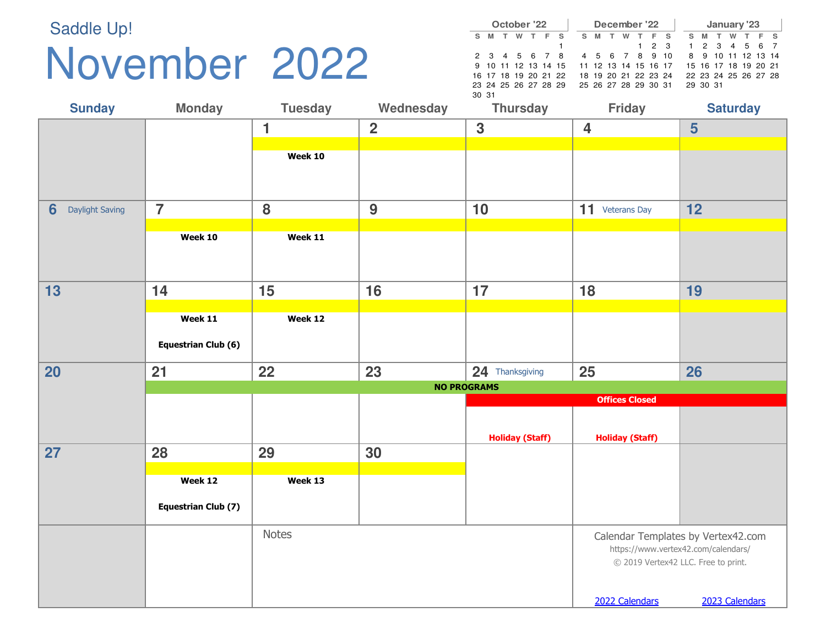### November 2022

|       |                      | October '22 |    |                                          |   |   |   | December '22         |                   |     |  |          |   | January '23          |       |  |
|-------|----------------------|-------------|----|------------------------------------------|---|---|---|----------------------|-------------------|-----|--|----------|---|----------------------|-------|--|
| S.    | M                    |             | F. | S.                                       | s | M | w |                      |                   | F S |  | S M      | w |                      | $F$ S |  |
|       |                      |             |    |                                          |   |   |   |                      | $1\quad 2\quad 3$ |     |  |          |   | 1 2 3 4 5 6 7        |       |  |
|       | 2 3 4 5 6 7 8        |             |    |                                          |   |   |   | 4 5 6 7 8 9 10       |                   |     |  |          |   | 8 9 10 11 12 13 14   |       |  |
|       |                      |             |    | 9 10 11 12 13 14 15 11 12 13 14 15 16 17 |   |   |   |                      |                   |     |  |          |   | 15 16 17 18 19 20 21 |       |  |
|       | 16 17 18 19 20 21 22 |             |    |                                          |   |   |   | 18 19 20 21 22 23 24 |                   |     |  |          |   | 22 23 24 25 26 27 28 |       |  |
|       | 23 24 25 26 27 28 29 |             |    |                                          |   |   |   | 25 26 27 28 29 30 31 |                   |     |  | 29 30 31 |   |                      |       |  |
| 30 31 |                      |             |    |                                          |   |   |   |                      |                   |     |  |          |   |                      |       |  |

| <b>Sunday</b>        | <b>Monday</b>              | <b>Tuesday</b> | Wednesday      | <b>Thursday</b>        | <b>Friday</b>           | <b>Saturday</b>                                                           |
|----------------------|----------------------------|----------------|----------------|------------------------|-------------------------|---------------------------------------------------------------------------|
|                      |                            | 1              | $\overline{2}$ | 3                      | $\overline{\mathbf{4}}$ | $5\phantom{1}$                                                            |
|                      |                            |                |                |                        |                         |                                                                           |
|                      |                            | <b>Week 10</b> |                |                        |                         |                                                                           |
|                      |                            |                |                |                        |                         |                                                                           |
|                      |                            |                |                |                        |                         |                                                                           |
| 6<br>Daylight Saving | $\overline{7}$             | 8              | 9              | 10                     | 11 Veterans Day         | 12                                                                        |
|                      |                            |                |                |                        |                         |                                                                           |
|                      | Week 10                    | Week 11        |                |                        |                         |                                                                           |
|                      |                            |                |                |                        |                         |                                                                           |
|                      |                            |                |                |                        |                         |                                                                           |
| 13                   | 14                         | 15             | 16             | 17                     | 18                      | 19                                                                        |
|                      | Week 11                    | Week 12        |                |                        |                         |                                                                           |
|                      |                            |                |                |                        |                         |                                                                           |
|                      | <b>Equestrian Club (6)</b> |                |                |                        |                         |                                                                           |
|                      |                            |                |                |                        |                         |                                                                           |
| 20                   | 21                         | 22             | 23             | 24 Thanksgiving        | 25                      | 26                                                                        |
|                      |                            |                |                | <b>NO PROGRAMS</b>     | <b>Offices Closed</b>   |                                                                           |
|                      |                            |                |                |                        |                         |                                                                           |
|                      |                            |                |                |                        |                         |                                                                           |
|                      |                            |                |                | <b>Holiday (Staff)</b> | <b>Holiday (Staff)</b>  |                                                                           |
| 27                   | 28                         | 29             | 30             |                        |                         |                                                                           |
|                      | Week 12                    | Week 13        |                |                        |                         |                                                                           |
|                      |                            |                |                |                        |                         |                                                                           |
|                      | <b>Equestrian Club (7)</b> |                |                |                        |                         |                                                                           |
|                      |                            | <b>Notes</b>   |                |                        |                         |                                                                           |
|                      |                            |                |                |                        |                         | Calendar Templates by Vertex42.com<br>https://www.vertex42.com/calendars/ |
|                      |                            |                |                |                        |                         | © 2019 Vertex42 LLC. Free to print.                                       |
|                      |                            |                |                |                        |                         |                                                                           |
|                      |                            |                |                |                        | 2022 Calendars          | 2023 Calendars                                                            |